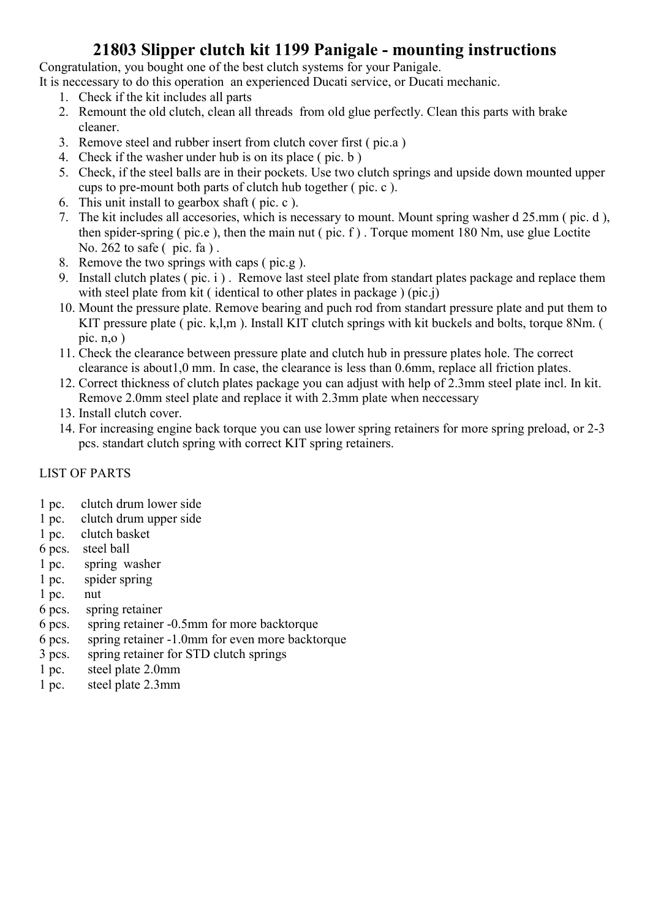### 21803 Slipper clutch kit 1199 Panigale - mounting instructions

Congratulation, you bought one of the best clutch systems for your Panigale.

It is neccessary to do this operation an experienced Ducati service, or Ducati mechanic.

- 1. Check if the kit includes all parts
- 2. Remount the old clutch, clean all threads from old glue perfectly. Clean this parts with brake cleaner.
- 3. Remove steel and rubber insert from clutch cover first ( pic.a )
- 4. Check if the washer under hub is on its place ( pic. b )
- 5. Check, if the steel balls are in their pockets. Use two clutch springs and upside down mounted upper cups to pre-mount both parts of clutch hub together ( pic. c ).
- 6. This unit install to gearbox shaft ( pic. c ).
- 7. The kit includes all accesories, which is necessary to mount. Mount spring washer d 25.mm ( pic. d ), then spider-spring ( pic.e ), then the main nut ( pic. f ) . Torque moment 180 Nm, use glue Loctite No. 262 to safe ( pic. fa ) .
- 8. Remove the two springs with caps ( pic.g ).
- 9. Install clutch plates ( pic. i ) . Remove last steel plate from standart plates package and replace them with steel plate from kit ( identical to other plates in package ) (pic.j)
- 10. Mount the pressure plate. Remove bearing and puch rod from standart pressure plate and put them to KIT pressure plate ( pic. k,l,m ). Install KIT clutch springs with kit buckels and bolts, torque 8Nm. ( pic.  $n, o$ )
- 11. Check the clearance between pressure plate and clutch hub in pressure plates hole. The correct clearance is about1,0 mm. In case, the clearance is less than 0.6mm, replace all friction plates.
- 12. Correct thickness of clutch plates package you can adjust with help of 2.3mm steel plate incl. In kit. Remove 2.0mm steel plate and replace it with 2.3mm plate when neccessary
- 13. Install clutch cover.
- 14. For increasing engine back torque you can use lower spring retainers for more spring preload, or 2-3 pcs. standart clutch spring with correct KIT spring retainers.

#### LIST OF PARTS

- 1 pc. clutch drum lower side
- 1 pc. clutch drum upper side
- 1 pc. clutch basket
- 6 pcs. steel ball
- 1 pc. spring washer
- 1 pc. spider spring
- 1 pc. nut
- 6 pcs. spring retainer
- 6 pcs. spring retainer -0.5mm for more backtorque
- 6 pcs. spring retainer -1.0mm for even more backtorque
- 3 pcs. spring retainer for STD clutch springs
- 1 pc. steel plate 2.0mm
- 1 pc. steel plate 2.3mm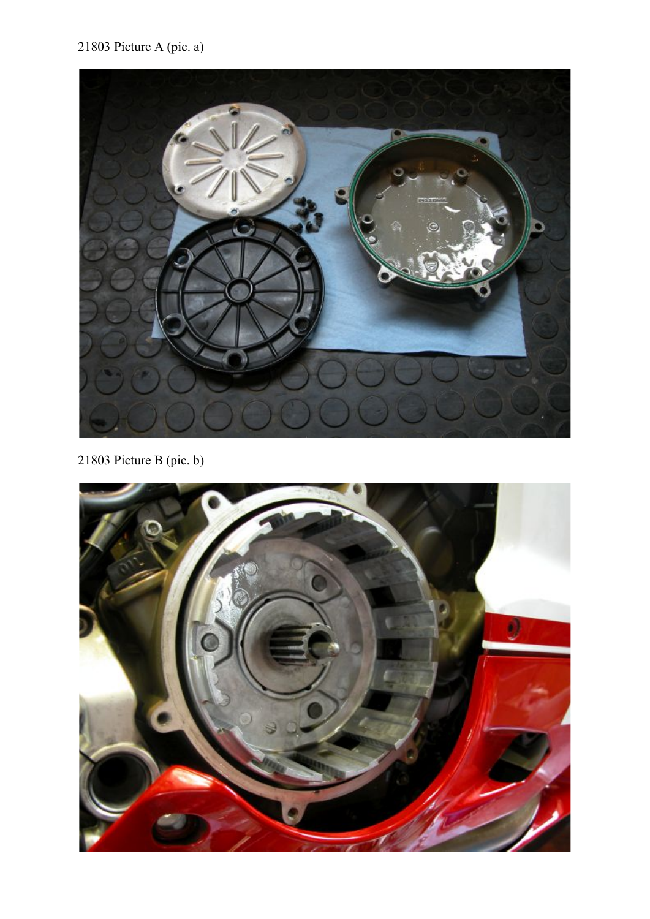## 21803 Picture A (pic. a)



21803 Picture B (pic. b)

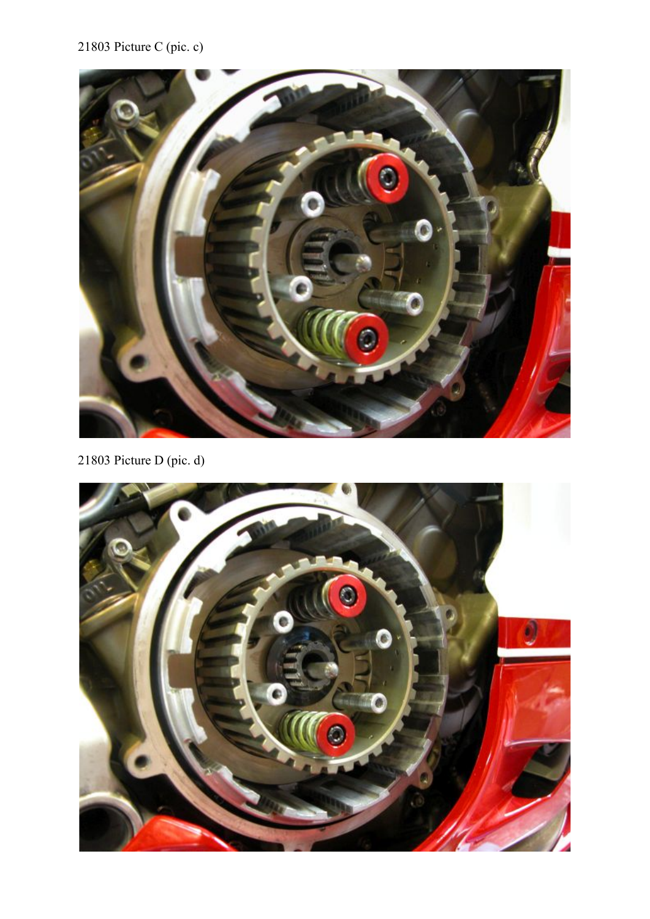# 21803 Picture C (pic. c)



21803 Picture D (pic. d)

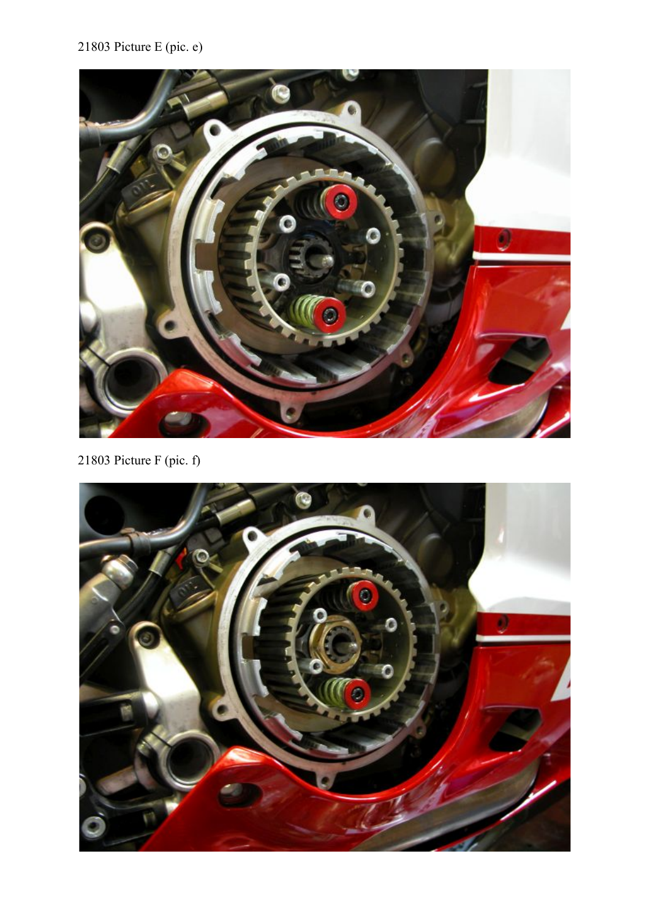# 21803 Picture E (pic. e)



21803 Picture F (pic. f)

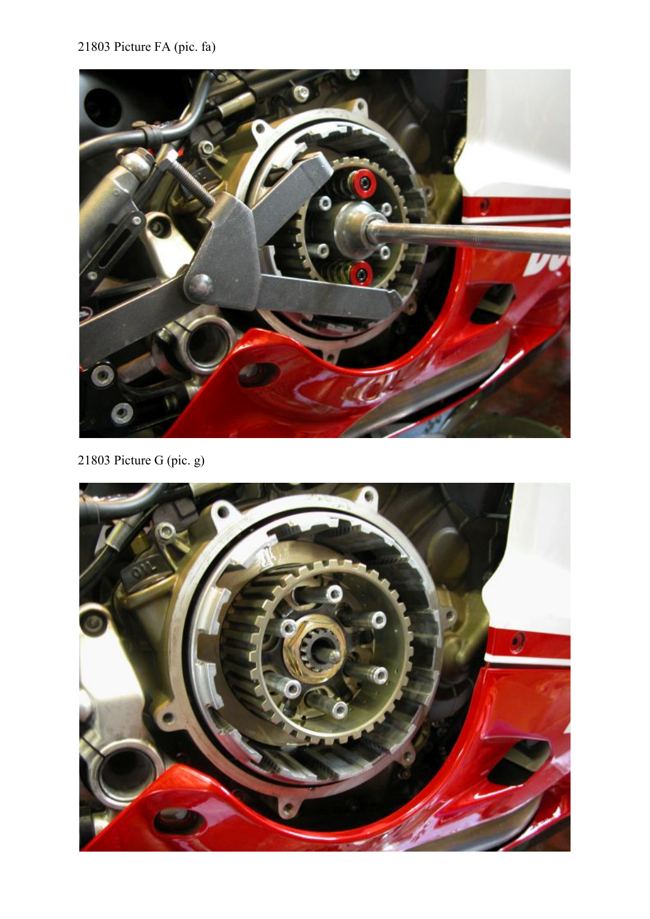### 21803 Picture FA (pic. fa)



21803 Picture G (pic. g)

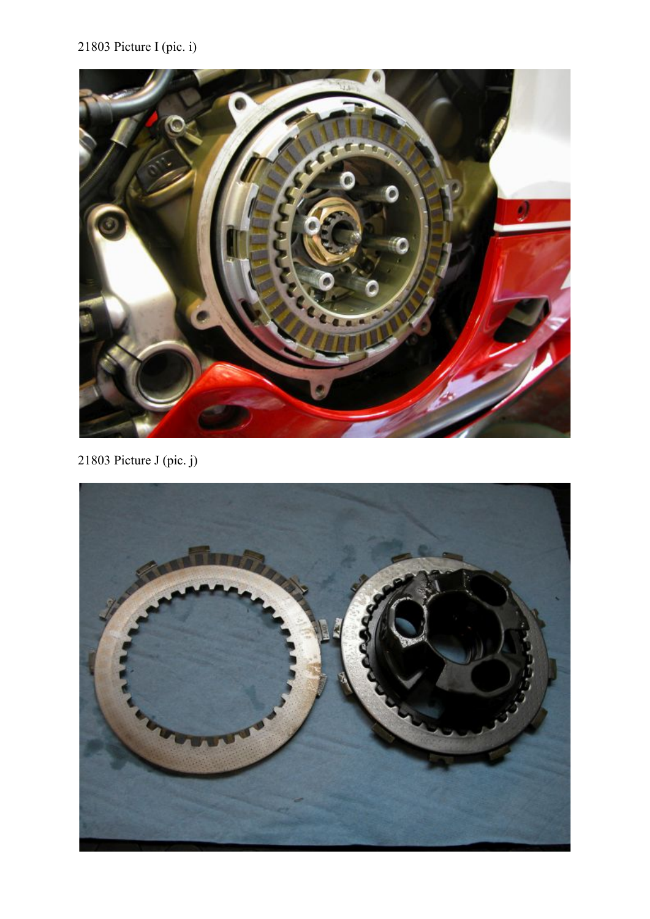## 21803 Picture I (pic. i)



21803 Picture J (pic. j)

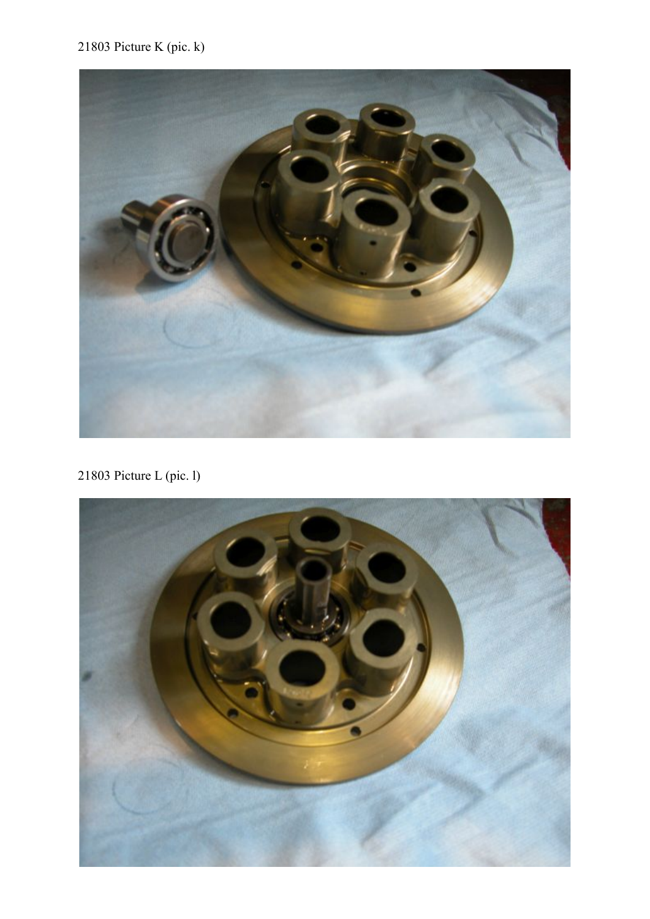### 21803 Picture K (pic. k)



21803 Picture L (pic. l)

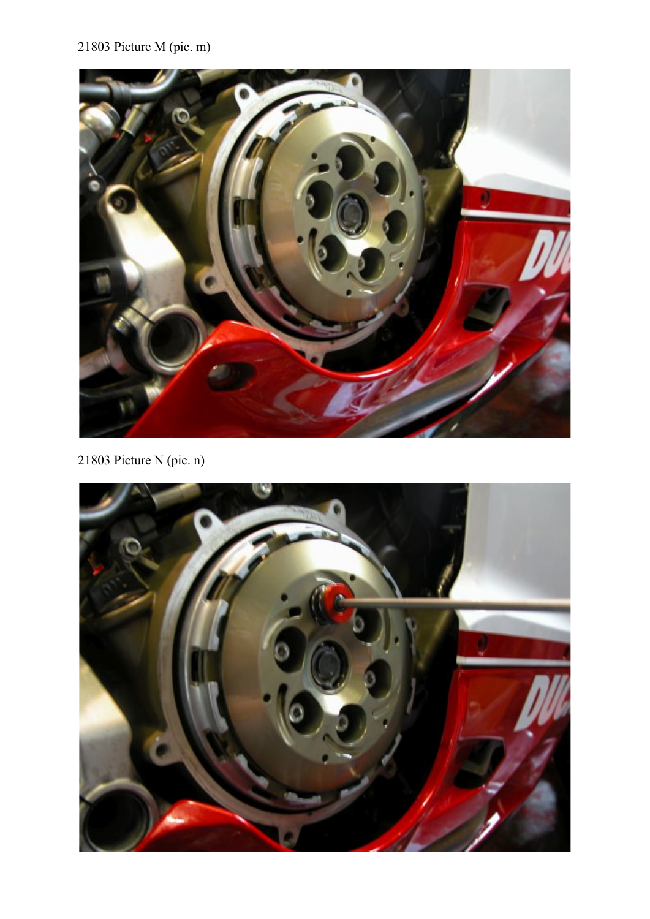# 21803 Picture M (pic. m)



21803 Picture N (pic. n)